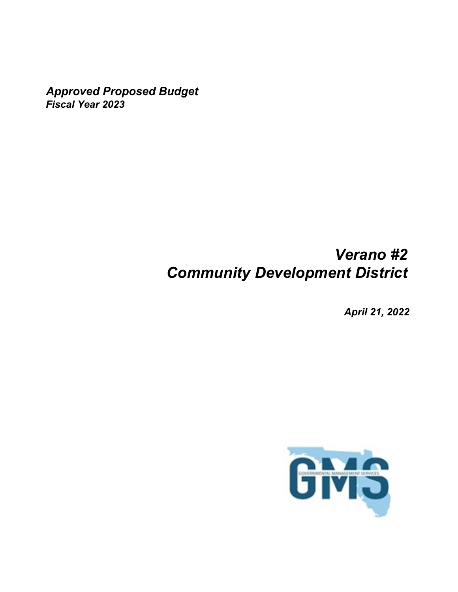*Approved Proposed Budget Fiscal Year 2023*

# *Verano #2 Community Development District*

*April 21, 2022*

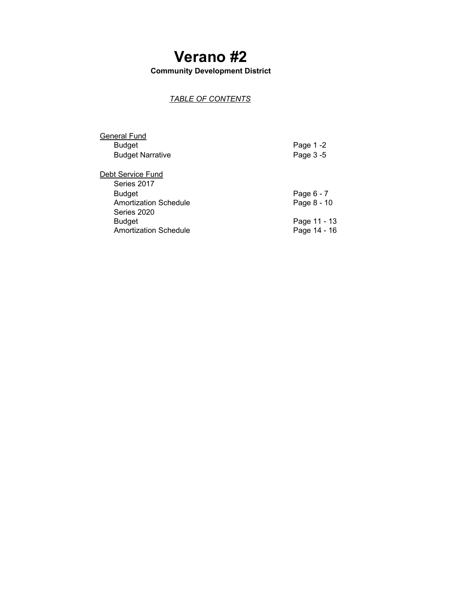# **Verano #2**

**Community Development District**

## *TABLE OF CONTENTS*

| General Fund                 |              |
|------------------------------|--------------|
| <b>Budget</b>                | Page 1-2     |
| <b>Budget Narrative</b>      | Page 3-5     |
|                              |              |
| Debt Service Fund            |              |
| Series 2017                  |              |
| <b>Budget</b>                | Page 6 - 7   |
| <b>Amortization Schedule</b> | Page 8 - 10  |
| Series 2020                  |              |
| <b>Budget</b>                | Page 11 - 13 |
| Amortization Schedule        | Page 14 - 16 |
|                              |              |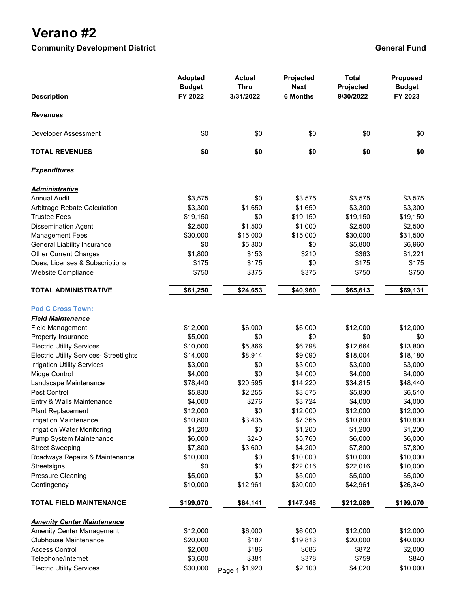## **Verano #2**

**Community Development District Community Development District Community Development District Community Ceneral Fund** 

| <b>Description</b>                             | <b>Adopted</b><br><b>Budget</b><br>FY 2022 | <b>Actual</b><br><b>Thru</b><br>3/31/2022 | Projected<br><b>Next</b><br><b>6 Months</b> | <b>Total</b><br>Projected<br>9/30/2022 | Proposed<br><b>Budget</b><br>FY 2023 |
|------------------------------------------------|--------------------------------------------|-------------------------------------------|---------------------------------------------|----------------------------------------|--------------------------------------|
| <b>Revenues</b>                                |                                            |                                           |                                             |                                        |                                      |
| Developer Assessment                           | \$0                                        | \$0                                       | \$0                                         | \$0                                    | \$0                                  |
| <b>TOTAL REVENUES</b>                          | \$0                                        | \$0                                       | \$0                                         | \$0                                    | \$0                                  |
| <b>Expenditures</b>                            |                                            |                                           |                                             |                                        |                                      |
| <u>Administrative</u>                          |                                            |                                           |                                             |                                        |                                      |
| <b>Annual Audit</b>                            | \$3,575                                    | \$0                                       | \$3,575                                     | \$3,575                                | \$3,575                              |
| Arbitrage Rebate Calculation                   | \$3,300                                    | \$1,650                                   | \$1,650                                     | \$3,300                                | \$3,300                              |
| <b>Trustee Fees</b>                            | \$19,150                                   | \$0                                       | \$19,150                                    | \$19,150                               | \$19,150                             |
| <b>Dissemination Agent</b>                     | \$2,500                                    | \$1,500                                   | \$1,000                                     | \$2,500                                | \$2,500                              |
| <b>Management Fees</b>                         | \$30,000                                   | \$15,000                                  | \$15,000                                    | \$30,000                               | \$31,500                             |
| <b>General Liability Insurance</b>             | \$0                                        | \$5,800                                   | \$0                                         | \$5,800                                | \$6,960                              |
| <b>Other Current Charges</b>                   | \$1,800                                    | \$153                                     | \$210                                       | \$363                                  | \$1,221                              |
| Dues, Licenses & Subscriptions                 | \$175                                      | \$175                                     | \$0                                         | \$175                                  | \$175                                |
| <b>Website Compliance</b>                      | \$750                                      | \$375                                     | \$375                                       | \$750                                  | \$750                                |
| <b>TOTAL ADMINISTRATIVE</b>                    | \$61,250                                   | \$24,653                                  | \$40,960                                    | \$65,613                               | \$69,131                             |
| <b>Pod C Cross Town:</b>                       |                                            |                                           |                                             |                                        |                                      |
| <b>Field Maintenance</b>                       |                                            |                                           |                                             |                                        |                                      |
| <b>Field Management</b>                        | \$12,000                                   | \$6,000                                   | \$6,000                                     | \$12,000                               | \$12,000                             |
| Property Insurance                             | \$5,000                                    | \$0                                       | \$0                                         | \$0                                    | \$0                                  |
| <b>Electric Utility Services</b>               | \$10,000                                   | \$5,866                                   | \$6,798                                     | \$12,664                               | \$13,800                             |
| <b>Electric Utility Services- Streetlights</b> | \$14,000                                   | \$8,914                                   | \$9,090                                     | \$18,004                               | \$18,180                             |
| <b>Irrigation Utility Services</b>             | \$3,000                                    | \$0                                       | \$3,000                                     | \$3,000                                | \$3,000                              |
| Midge Control                                  | \$4,000                                    | \$0                                       | \$4,000                                     | \$4,000                                | \$4,000                              |
| Landscape Maintenance                          | \$78,440                                   | \$20,595                                  | \$14,220                                    | \$34,815                               | \$48,440                             |
| Pest Control                                   | \$5,830                                    | \$2,255                                   | \$3,575                                     | \$5,830                                | \$6,510                              |
| Entry & Walls Maintenance                      | \$4,000                                    | \$276                                     | \$3,724                                     | \$4,000                                | \$4,000                              |
| <b>Plant Replacement</b>                       | \$12,000                                   | \$0                                       | \$12,000                                    | \$12,000                               | \$12,000                             |
| <b>Irrigation Maintenance</b>                  | \$10,800                                   | \$3,435                                   | \$7,365                                     | \$10,800                               | \$10,800                             |
| Irrigation Water Monitoring                    | \$1,200                                    | \$0                                       | \$1,200                                     | \$1,200                                | \$1,200                              |
| Pump System Maintenance                        | \$6,000                                    | \$240                                     | \$5,760                                     | \$6,000                                | \$6,000                              |
| <b>Street Sweeping</b>                         | \$7,800                                    | \$3,600                                   | \$4,200                                     | \$7,800                                | \$7,800                              |
| Roadways Repairs & Maintenance                 | \$10,000                                   | \$0                                       | \$10,000                                    | \$10,000                               | \$10,000                             |
| Streetsigns                                    | \$0                                        | \$0                                       | \$22,016                                    | \$22,016                               | \$10,000                             |
| <b>Pressure Cleaning</b>                       | \$5,000                                    | \$0                                       | \$5,000                                     | \$5,000                                | \$5,000                              |
| Contingency                                    | \$10,000                                   | \$12,961                                  | \$30,000                                    | \$42,961                               | \$26,340                             |
| <b>TOTAL FIELD MAINTENANCE</b>                 | \$199,070                                  | \$64,141                                  | \$147,948                                   | \$212,089                              | \$199,070                            |
| <b>Amenity Center Maintenance</b>              |                                            |                                           |                                             |                                        |                                      |
| Amenity Center Management                      | \$12,000                                   | \$6,000                                   | \$6,000                                     | \$12,000                               | \$12,000                             |
| <b>Clubhouse Maintenance</b>                   | \$20,000                                   | \$187                                     | \$19,813                                    | \$20,000                               | \$40,000                             |
| <b>Access Control</b>                          | \$2,000                                    | \$186                                     | \$686                                       | \$872                                  | \$2,000                              |
| Telephone/Internet                             | \$3,600                                    | \$381                                     | \$378                                       | \$759                                  | \$840                                |
| <b>Electric Utility Services</b>               | \$30,000                                   | \$1,920<br>Page 1                         | \$2,100                                     | \$4,020                                | \$10,000                             |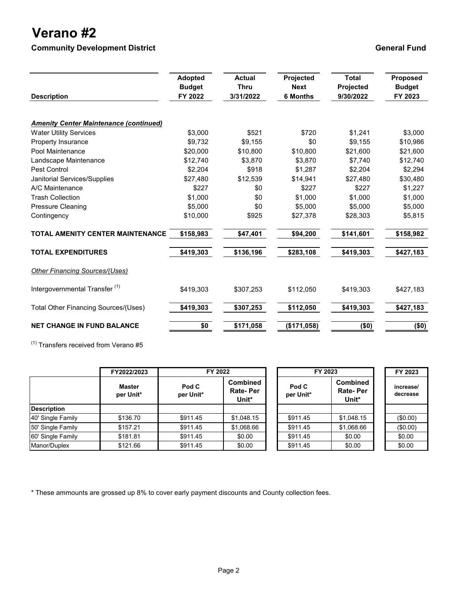## **Verano #2**

**Community Development District Community Development District Community Development District** 

| <b>Description</b>                            | <b>Adopted</b><br><b>Budget</b><br>FY 2022 | <b>Actual</b><br><b>Thru</b><br>3/31/2022 | Projected<br><b>Next</b><br><b>6 Months</b> | <b>Total</b><br>Projected<br>9/30/2022 | <b>Proposed</b><br><b>Budget</b><br>FY 2023 |
|-----------------------------------------------|--------------------------------------------|-------------------------------------------|---------------------------------------------|----------------------------------------|---------------------------------------------|
| <b>Amenity Center Maintenance (continued)</b> |                                            |                                           |                                             |                                        |                                             |
| <b>Water Utility Services</b>                 | \$3,000                                    | \$521                                     | \$720                                       | \$1,241                                | \$3,000                                     |
| <b>Property Insurance</b>                     | \$9,732                                    | \$9,155                                   | \$0                                         | \$9,155                                | \$10,986                                    |
| Pool Maintenance                              | \$20,000                                   | \$10,800                                  | \$10,800                                    | \$21,600                               | \$21,600                                    |
| Landscape Maintenance                         | \$12,740                                   | \$3.870                                   | \$3.870                                     | \$7.740                                | \$12,740                                    |
| Pest Control                                  | \$2.204                                    | \$918                                     | \$1.287                                     | \$2.204                                | \$2,294                                     |
| Janitorial Services/Supplies                  | \$27.480                                   | \$12,539                                  | \$14,941                                    | \$27.480                               | \$30,480                                    |
| A/C Maintenance                               | \$227                                      | \$0                                       | \$227                                       | \$227                                  | \$1,227                                     |
| <b>Trash Collection</b>                       | \$1,000                                    | \$0                                       | \$1.000                                     | \$1.000                                | \$1,000                                     |
| <b>Pressure Cleaning</b>                      | \$5,000                                    | \$0                                       | \$5.000                                     | \$5,000                                | \$5,000                                     |
| Contingency                                   | \$10,000                                   | \$925                                     | \$27,378                                    | \$28,303                               | \$5,815                                     |
| <b>TOTAL AMENITY CENTER MAINTENANCE</b>       | \$158,983                                  | \$47,401                                  | \$94,200                                    | \$141,601                              | \$158,982                                   |
| <b>TOTAL EXPENDITURES</b>                     | \$419,303                                  | \$136,196                                 | \$283,108                                   | \$419,303                              | \$427,183                                   |
| <b>Other Financing Sources/(Uses)</b>         |                                            |                                           |                                             |                                        |                                             |
| Intergovernmental Transfer <sup>(1)</sup>     | \$419,303                                  | \$307,253                                 | \$112,050                                   | \$419,303                              | \$427,183                                   |
| Total Other Financing Sources/(Uses)          | \$419,303                                  | \$307,253                                 | \$112,050                                   | \$419,303                              | \$427,183                                   |
| <b>NET CHANGE IN FUND BALANCE</b>             | \$0                                        | \$171,058                                 | (\$171,058)                                 | (50)                                   | (\$0)                                       |

 $(1)$  Transfers received from Verano #5

|                    | FY2022/2023                | FY 2022            |                                             | FY 2023            |                                             | FY 2023               |
|--------------------|----------------------------|--------------------|---------------------------------------------|--------------------|---------------------------------------------|-----------------------|
|                    | <b>Master</b><br>per Unit* | Pod C<br>per Unit* | <b>Combined</b><br><b>Rate-Per</b><br>Unit* | Pod C<br>per Unit* | <b>Combined</b><br><b>Rate-Per</b><br>Unit* | increase/<br>decrease |
| <b>Description</b> |                            |                    |                                             |                    |                                             |                       |
| 40' Single Family  | \$136.70                   | \$911.45           | \$1,048.15                                  | \$911.45           | \$1,048.15                                  | (\$0.00)              |
| 50' Single Family  | \$157.21                   | \$911.45           | \$1,068.66                                  | \$911.45           | \$1,068.66                                  | (\$0.00)              |
| 60' Single Family  | \$181.81                   | \$911.45           | \$0.00                                      | \$911.45           | \$0.00                                      | \$0.00                |
| Manor/Duplex       | \$121.66                   | \$911.45           | \$0.00                                      | \$911.45           | \$0.00                                      | \$0.00                |

\* These ammounts are grossed up 8% to cover early payment discounts and County collection fees.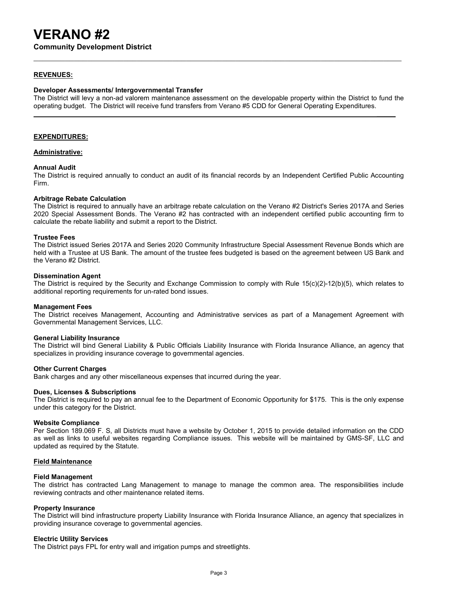**Community Development District**

## **REVENUES:**

## **Developer Assessments/ Intergovernmental Transfer**

The District will levy a non-ad valorem maintenance assessment on the developable property within the District to fund the operating budget. The District will receive fund transfers from Verano #5 CDD for General Operating Expenditures.

**\_\_\_\_\_**

## **EXPENDITURES:**

## **Administrative:**

## **Annual Audit**

The District is required annually to conduct an audit of its financial records by an Independent Certified Public Accounting Firm.

### **Arbitrage Rebate Calculation**

The District is required to annually have an arbitrage rebate calculation on the Verano #2 District's Series 2017A and Series 2020 Special Assessment Bonds. The Verano #2 has contracted with an independent certified public accounting firm to calculate the rebate liability and submit a report to the District.

### **Trustee Fees**

The District issued Series 2017A and Series 2020 Community Infrastructure Special Assessment Revenue Bonds which are held with a Trustee at US Bank. The amount of the trustee fees budgeted is based on the agreement between US Bank and the Verano #2 District.

### **Dissemination Agent**

The District is required by the Security and Exchange Commission to comply with Rule 15(c)(2)-12(b)(5), which relates to additional reporting requirements for un-rated bond issues.

### **Management Fees**

The District receives Management, Accounting and Administrative services as part of a Management Agreement with Governmental Management Services, LLC.

## **General Liability Insurance**

The District will bind General Liability & Public Officials Liability Insurance with Florida Insurance Alliance, an agency that specializes in providing insurance coverage to governmental agencies.

### **Other Current Charges**

Bank charges and any other miscellaneous expenses that incurred during the year.

## **Dues, Licenses & Subscriptions**

The District is required to pay an annual fee to the Department of Economic Opportunity for \$175. This is the only expense under this category for the District.

### **Website Compliance**

Per Section 189.069 F. S, all Districts must have a website by October 1, 2015 to provide detailed information on the CDD as well as links to useful websites regarding Compliance issues. This website will be maintained by GMS-SF, LLC and updated as required by the Statute.

## **Field Maintenance**

## **Field Management**

The district has contracted Lang Management to manage to manage the common area. The responsibilities include reviewing contracts and other maintenance related items.

## **Property Insurance**

The District will bind infrastructure property Liability Insurance with Florida Insurance Alliance, an agency that specializes in providing insurance coverage to governmental agencies.

## **Electric Utility Services**

The District pays FPL for entry wall and irrigation pumps and streetlights.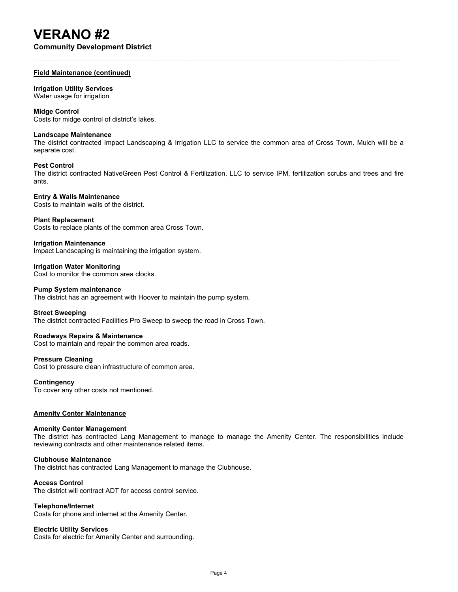**Community Development District**

## **Field Maintenance (continued)**

## **Irrigation Utility Services**

Water usage for irrigation

## **Midge Control**

Costs for midge control of district's lakes.

## **Landscape Maintenance**

The district contracted Impact Landscaping & Irrigation LLC to service the common area of Cross Town. Mulch will be a separate cost.

## **Pest Control**

The district contracted NativeGreen Pest Control & Fertilization, LLC to service IPM, fertilization scrubs and trees and fire ants.

### **Entry & Walls Maintenance** Costs to maintain walls of the district.

**Plant Replacement**

Costs to replace plants of the common area Cross Town.

## **Irrigation Maintenance**

Impact Landscaping is maintaining the irrigation system.

**Irrigation Water Monitoring** Cost to monitor the common area clocks.

## **Pump System maintenance**

The district has an agreement with Hoover to maintain the pump system.

## **Street Sweeping**

The district contracted Facilities Pro Sweep to sweep the road in Cross Town.

## **Roadways Repairs & Maintenance**

Cost to maintain and repair the common area roads.

## **Pressure Cleaning**

Cost to pressure clean infrastructure of common area.

## **Contingency**

To cover any other costs not mentioned.

## **Amenity Center Maintenance**

## **Amenity Center Management**

The district has contracted Lang Management to manage to manage the Amenity Center. The responsibilities include reviewing contracts and other maintenance related items.

## **Clubhouse Maintenance**

The district has contracted Lang Management to manage the Clubhouse.

## **Access Control**

The district will contract ADT for access control service.

## **Telephone/Internet**

Costs for phone and internet at the Amenity Center.

## **Electric Utility Services**

Costs for electric for Amenity Center and surrounding.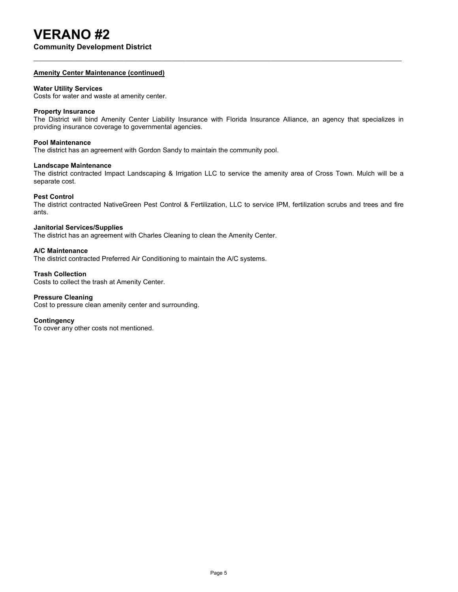**Community Development District**

## **Amenity Center Maintenance (continued)**

## **Water Utility Services**

Costs for water and waste at amenity center.

## **Property Insurance**

The District will bind Amenity Center Liability Insurance with Florida Insurance Alliance, an agency that specializes in providing insurance coverage to governmental agencies.

## **Pool Maintenance**

The district has an agreement with Gordon Sandy to maintain the community pool.

## **Landscape Maintenance**

The district contracted Impact Landscaping & Irrigation LLC to service the amenity area of Cross Town. Mulch will be a separate cost.

## **Pest Control**

The district contracted NativeGreen Pest Control & Fertilization, LLC to service IPM, fertilization scrubs and trees and fire ants.

## **Janitorial Services/Supplies**

The district has an agreement with Charles Cleaning to clean the Amenity Center.

## **A/C Maintenance**

The district contracted Preferred Air Conditioning to maintain the A/C systems.

## **Trash Collection**

Costs to collect the trash at Amenity Center.

## **Pressure Cleaning**

Cost to pressure clean amenity center and surrounding.

## **Contingency**

To cover any other costs not mentioned.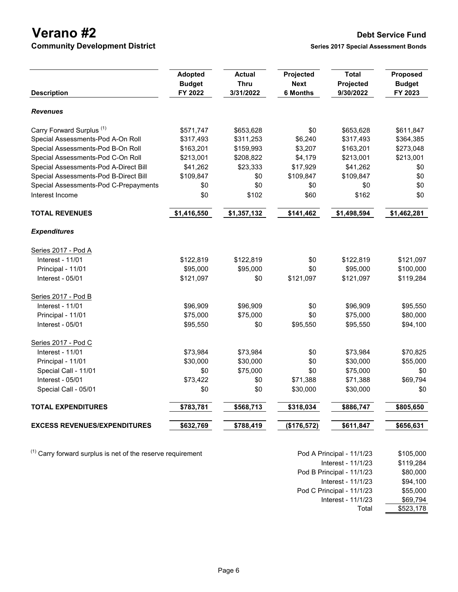**Verano #2 Debt Service Fund**<br> **Community Development District District** Series 2017 Special Assessment Bonds **Community Development District** 

| <b>Description</b>                    | <b>Adopted</b><br><b>Budget</b><br>FY 2022 | <b>Actual</b><br><b>Thru</b><br>3/31/2022 | Projected<br><b>Next</b><br><b>6 Months</b> | <b>Total</b><br>Projected<br>9/30/2022 | Proposed<br><b>Budget</b><br>FY 2023 |
|---------------------------------------|--------------------------------------------|-------------------------------------------|---------------------------------------------|----------------------------------------|--------------------------------------|
| <b>Revenues</b>                       |                                            |                                           |                                             |                                        |                                      |
| Carry Forward Surplus <sup>(1)</sup>  | \$571,747                                  | \$653,628                                 | \$0                                         | \$653,628                              | \$611,847                            |
| Special Assessments-Pod A-On Roll     | \$317,493                                  | \$311,253                                 | \$6,240                                     | \$317,493                              | \$364,385                            |
| Special Assessments-Pod B-On Roll     | \$163,201                                  | \$159,993                                 | \$3,207                                     | \$163,201                              | \$273,048                            |
| Special Assessments-Pod C-On Roll     | \$213,001                                  | \$208,822                                 | \$4,179                                     | \$213,001                              | \$213,001                            |
| Special Assessments-Pod A-Direct Bill | \$41,262                                   | \$23,333                                  | \$17,929                                    | \$41,262                               | \$0                                  |
| Special Assessments-Pod B-Direct Bill | \$109,847                                  | \$0                                       | \$109,847                                   | \$109,847                              | \$0                                  |
| Special Assessments-Pod C-Prepayments | \$0                                        | \$0                                       | \$0                                         | \$0                                    | \$0                                  |
| Interest Income                       | \$0                                        | \$102                                     | \$60                                        | \$162                                  | \$0                                  |
| <b>TOTAL REVENUES</b>                 | \$1,416,550                                | \$1,357,132                               | \$141,462                                   | \$1,498,594                            | \$1,462,281                          |
| <b>Expenditures</b>                   |                                            |                                           |                                             |                                        |                                      |
| Series 2017 - Pod A                   |                                            |                                           |                                             |                                        |                                      |
| Interest - 11/01                      | \$122,819                                  | \$122,819                                 | \$0                                         | \$122,819                              | \$121,097                            |
| Principal - 11/01                     | \$95,000                                   | \$95,000                                  | \$0                                         | \$95,000                               | \$100,000                            |
| Interest - 05/01                      | \$121,097                                  | \$0                                       | \$121,097                                   | \$121,097                              | \$119,284                            |
| Series 2017 - Pod B                   |                                            |                                           |                                             |                                        |                                      |
| Interest - 11/01                      | \$96,909                                   | \$96,909                                  | \$0                                         | \$96,909                               | \$95,550                             |
| Principal - 11/01                     | \$75,000                                   | \$75,000                                  | \$0                                         | \$75,000                               | \$80,000                             |
| Interest - 05/01                      | \$95,550                                   | \$0                                       | \$95,550                                    | \$95,550                               | \$94,100                             |
| Series 2017 - Pod C                   |                                            |                                           |                                             |                                        |                                      |
| Interest - 11/01                      | \$73,984                                   | \$73,984                                  | \$0                                         | \$73,984                               | \$70,825                             |
| Principal - 11/01                     | \$30,000                                   | \$30,000                                  | \$0                                         | \$30,000                               | \$55,000                             |
| Special Call - 11/01                  | \$0                                        | \$75,000                                  | \$0                                         | \$75,000                               | \$0                                  |
| Interest - 05/01                      | \$73,422                                   | \$0                                       | \$71,388                                    | \$71,388                               | \$69,794                             |
| Special Call - 05/01                  | \$0                                        | \$0                                       | \$30,000                                    | \$30,000                               | \$0                                  |
| <b>TOTAL EXPENDITURES</b>             | \$783,781                                  | \$568,713                                 | \$318,034                                   | \$886,747                              | \$805,650                            |
| <b>EXCESS REVENUES/EXPENDITURES</b>   | \$632,769                                  | \$788,419                                 | (\$176,572)                                 | \$611,847                              | \$656,631                            |

 $(1)$  Carry forward surplus is net of the reserve requirement

| Pod A Principal - 11/1/23 | \$105,000 |
|---------------------------|-----------|
| Interest - 11/1/23        | \$119,284 |
| Pod B Principal - 11/1/23 | \$80,000  |
| Interest - 11/1/23        | \$94.100  |
| Pod C Principal - 11/1/23 | \$55,000  |
| Interest - 11/1/23        | \$69,794  |
| Total                     | \$523,178 |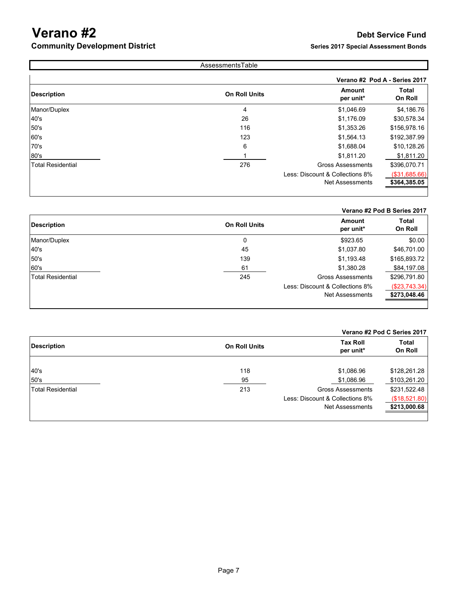## **Verano #2 Debt Service Fund**<br> **Community Development District District Debt Service Fund**<br> **Series 2017 Special Assessment Bonds Community Development District**

| AssessmentsTable         |                      |                                 |                               |  |
|--------------------------|----------------------|---------------------------------|-------------------------------|--|
|                          |                      |                                 | Verano #2 Pod A - Series 2017 |  |
| <b>Description</b>       | <b>On Roll Units</b> | <b>Amount</b><br>per unit*      | <b>Total</b><br>On Roll       |  |
| Manor/Duplex             | 4                    | \$1,046.69                      | \$4,186.76                    |  |
| 40's                     | 26                   | \$1,176.09                      | \$30,578.34                   |  |
| 50's                     | 116                  | \$1,353.26                      | \$156,978.16                  |  |
| 60's                     | 123                  | \$1,564.13                      | \$192,387.99                  |  |
| 70's                     | 6                    | \$1,688.04                      | \$10,128.26                   |  |
| 80's                     |                      | \$1,811.20                      | \$1,811.20                    |  |
| <b>Total Residential</b> | 276                  | <b>Gross Assessments</b>        | \$396,070.71                  |  |
|                          |                      | Less: Discount & Collections 8% | (\$31,685.66)                 |  |
|                          |                      | <b>Net Assessments</b>          | \$364,385.05                  |  |
|                          |                      |                                 |                               |  |

## **Verano #2 Pod B Series 2017**

| <b>Description</b>       | <b>On Roll Units</b> | <b>Amount</b><br>per unit*      | <b>Total</b><br>On Roll |
|--------------------------|----------------------|---------------------------------|-------------------------|
| Manor/Duplex             | 0                    | \$923.65                        | \$0.00                  |
| 40's                     | 45                   | \$1,037.80                      | \$46,701.00             |
| 50's                     | 139                  | \$1,193.48                      | \$165,893.72            |
| 60's                     | 61                   | \$1,380.28                      | \$84,197.08             |
| <b>Total Residential</b> | 245                  | <b>Gross Assessments</b>        | \$296,791.80            |
|                          |                      | Less: Discount & Collections 8% | $(\$23,743.34)$         |
|                          |                      | Net Assessments                 | \$273,048.46            |
|                          |                      |                                 |                         |

|                          |                      |                                 | Verano #2 Pod C Series 2017 |  |  |
|--------------------------|----------------------|---------------------------------|-----------------------------|--|--|
| <b>Description</b>       | <b>On Roll Units</b> | <b>Tax Roll</b><br>per unit*    | <b>Total</b><br>On Roll     |  |  |
| 40's                     | 118                  | \$1,086.96                      | \$128,261.28                |  |  |
| 50's                     | 95                   | \$1,086.96                      | \$103,261.20                |  |  |
| <b>Total Residential</b> | 213                  | <b>Gross Assessments</b>        | \$231,522.48                |  |  |
|                          |                      | Less: Discount & Collections 8% | (\$18,521.80)               |  |  |
|                          |                      | Net Assessments                 | \$213,000.68                |  |  |
|                          |                      |                                 |                             |  |  |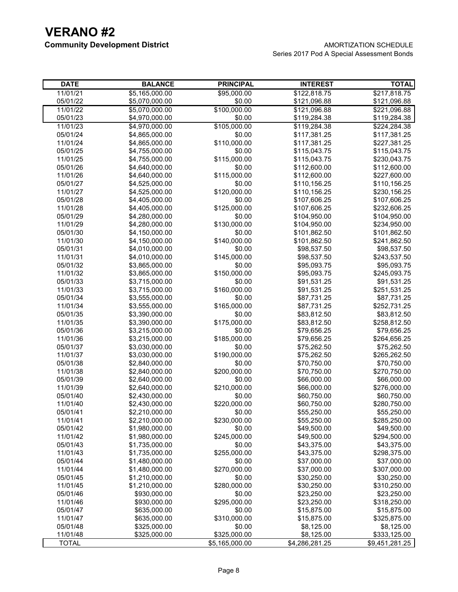| <b>DATE</b>  | <b>BALANCE</b> | <b>PRINCIPAL</b> | <b>INTEREST</b> | <b>TOTAL</b>   |
|--------------|----------------|------------------|-----------------|----------------|
| 11/01/21     | \$5,165,000.00 | \$95,000.00      | \$122,818.75    | \$217,818.75   |
| 05/01/22     | \$5,070,000.00 | \$0.00           | \$121,096.88    | \$121,096.88   |
| 11/01/22     | \$5,070,000.00 | \$100,000.00     | \$121,096.88    | \$221,096.88   |
| 05/01/23     | \$4,970,000.00 | \$0.00           | \$119,284.38    | \$119,284.38   |
| 11/01/23     | \$4,970,000.00 | \$105,000.00     | \$119,284.38    | \$224,284.38   |
| 05/01/24     | \$4,865,000.00 | \$0.00           | \$117,381.25    | \$117,381.25   |
| 11/01/24     | \$4,865,000.00 | \$110,000.00     | \$117,381.25    | \$227,381.25   |
| 05/01/25     | \$4,755,000.00 | \$0.00           | \$115,043.75    | \$115,043.75   |
| 11/01/25     | \$4,755,000.00 | \$115,000.00     | \$115,043.75    | \$230,043.75   |
| 05/01/26     | \$4,640,000.00 | \$0.00           | \$112,600.00    | \$112,600.00   |
| 11/01/26     | \$4,640,000.00 | \$115,000.00     | \$112,600.00    | \$227,600.00   |
| 05/01/27     | \$4,525,000.00 | \$0.00           | \$110,156.25    | \$110,156.25   |
| 11/01/27     | \$4,525,000.00 | \$120,000.00     | \$110,156.25    | \$230,156.25   |
| 05/01/28     | \$4,405,000.00 | \$0.00           | \$107,606.25    | \$107,606.25   |
| 11/01/28     | \$4,405,000.00 | \$125,000.00     | \$107,606.25    | \$232,606.25   |
| 05/01/29     | \$4,280,000.00 | \$0.00           | \$104,950.00    | \$104,950.00   |
| 11/01/29     | \$4,280,000.00 | \$130,000.00     | \$104,950.00    | \$234,950.00   |
| 05/01/30     | \$4,150,000.00 | \$0.00           | \$101,862.50    | \$101,862.50   |
| 11/01/30     | \$4,150,000.00 | \$140,000.00     | \$101,862.50    | \$241,862.50   |
| 05/01/31     | \$4,010,000.00 | \$0.00           | \$98,537.50     | \$98,537.50    |
| 11/01/31     | \$4,010,000.00 | \$145,000.00     | \$98,537.50     | \$243,537.50   |
| 05/01/32     | \$3,865,000.00 | \$0.00           | \$95,093.75     | \$95,093.75    |
| 11/01/32     | \$3,865,000.00 | \$150,000.00     | \$95,093.75     | \$245,093.75   |
| 05/01/33     | \$3,715,000.00 | \$0.00           | \$91,531.25     | \$91,531.25    |
| 11/01/33     | \$3,715,000.00 | \$160,000.00     | \$91,531.25     | \$251,531.25   |
| 05/01/34     | \$3,555,000.00 | \$0.00           | \$87,731.25     | \$87,731.25    |
| 11/01/34     | \$3,555,000.00 | \$165,000.00     | \$87,731.25     | \$252,731.25   |
| 05/01/35     | \$3,390,000.00 | \$0.00           | \$83,812.50     | \$83,812.50    |
| 11/01/35     | \$3,390,000.00 | \$175,000.00     | \$83,812.50     | \$258,812.50   |
| 05/01/36     | \$3,215,000.00 | \$0.00           | \$79,656.25     | \$79,656.25    |
| 11/01/36     | \$3,215,000.00 | \$185,000.00     | \$79,656.25     | \$264,656.25   |
| 05/01/37     | \$3,030,000.00 | \$0.00           | \$75,262.50     | \$75,262.50    |
| 11/01/37     | \$3,030,000.00 | \$190,000.00     | \$75,262.50     | \$265,262.50   |
| 05/01/38     | \$2,840,000.00 | \$0.00           | \$70,750.00     | \$70,750.00    |
| 11/01/38     | \$2,840,000.00 | \$200,000.00     | \$70,750.00     | \$270,750.00   |
| 05/01/39     | \$2,640,000.00 | \$0.00           | \$66,000.00     | \$66,000.00    |
| 11/01/39     | \$2,640,000.00 | \$210,000.00     | \$66,000.00     | \$276,000.00   |
| 05/01/40     | \$2,430,000.00 | \$0.00           | \$60,750.00     | \$60,750.00    |
| 11/01/40     | \$2,430,000.00 | \$220,000.00     | \$60,750.00     | \$280,750.00   |
| 05/01/41     | \$2,210,000.00 | \$0.00           | \$55,250.00     | \$55,250.00    |
| 11/01/41     | \$2,210,000.00 | \$230,000.00     | \$55,250.00     | \$285,250.00   |
| 05/01/42     | \$1,980,000.00 | \$0.00           | \$49,500.00     | \$49,500.00    |
| 11/01/42     | \$1,980,000.00 | \$245,000.00     | \$49,500.00     | \$294,500.00   |
| 05/01/43     | \$1,735,000.00 | \$0.00           | \$43,375.00     | \$43,375.00    |
| 11/01/43     | \$1,735,000.00 | \$255,000.00     | \$43,375.00     | \$298,375.00   |
| 05/01/44     | \$1,480,000.00 | \$0.00           | \$37,000.00     | \$37,000.00    |
| 11/01/44     | \$1,480,000.00 | \$270,000.00     | \$37,000.00     | \$307,000.00   |
| 05/01/45     | \$1,210,000.00 | \$0.00           | \$30,250.00     | \$30,250.00    |
| 11/01/45     | \$1,210,000.00 | \$280,000.00     | \$30,250.00     | \$310,250.00   |
| 05/01/46     | \$930,000.00   | \$0.00           | \$23,250.00     | \$23,250.00    |
| 11/01/46     | \$930,000.00   | \$295,000.00     | \$23,250.00     | \$318,250.00   |
| 05/01/47     | \$635,000.00   | \$0.00           | \$15,875.00     | \$15,875.00    |
| 11/01/47     | \$635,000.00   | \$310,000.00     | \$15,875.00     | \$325,875.00   |
| 05/01/48     | \$325,000.00   | \$0.00           | \$8,125.00      | \$8,125.00     |
| 11/01/48     | \$325,000.00   | \$325,000.00     | \$8,125.00      | \$333,125.00   |
| <b>TOTAL</b> |                | \$5,165,000.00   | \$4,286,281.25  | \$9,451,281.25 |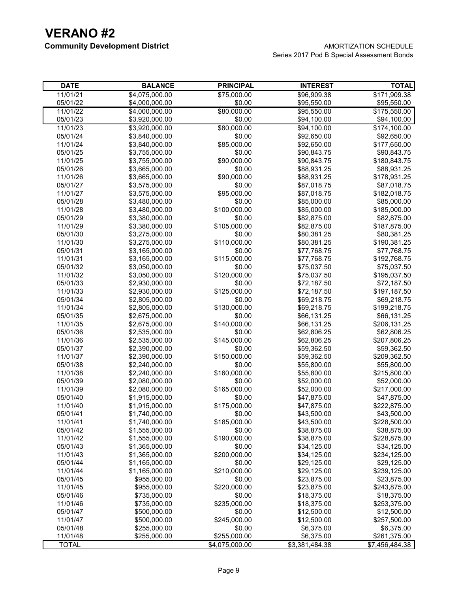| <b>DATE</b>  | <b>BALANCE</b> | <b>PRINCIPAL</b> | <b>INTEREST</b> | <b>TOTAL</b>   |
|--------------|----------------|------------------|-----------------|----------------|
| 11/01/21     | \$4,075,000.00 | \$75,000.00      | \$96,909.38     | \$171,909.38   |
| 05/01/22     | \$4,000,000.00 | \$0.00           | \$95,550.00     | \$95,550.00    |
| 11/01/22     | \$4,000,000.00 | \$80,000.00      | \$95,550.00     | \$175,550.00   |
| 05/01/23     | \$3,920,000.00 | \$0.00           | \$94,100.00     | \$94,100.00    |
| 11/01/23     | \$3,920,000.00 | \$80,000.00      | \$94,100.00     | \$174,100.00   |
| 05/01/24     | \$3,840,000.00 | \$0.00           | \$92,650.00     | \$92,650.00    |
| 11/01/24     | \$3,840,000.00 | \$85,000.00      | \$92,650.00     | \$177,650.00   |
| 05/01/25     | \$3,755,000.00 | \$0.00           | \$90,843.75     | \$90,843.75    |
| 11/01/25     | \$3,755,000.00 | \$90,000.00      | \$90,843.75     | \$180,843.75   |
| 05/01/26     | \$3,665,000.00 | \$0.00           | \$88,931.25     | \$88,931.25    |
| 11/01/26     | \$3,665,000.00 | \$90,000.00      | \$88,931.25     | \$178,931.25   |
| 05/01/27     | \$3,575,000.00 | \$0.00           | \$87,018.75     | \$87,018.75    |
| 11/01/27     | \$3,575,000.00 | \$95,000.00      | \$87,018.75     | \$182,018.75   |
| 05/01/28     | \$3,480,000.00 | \$0.00           | \$85,000.00     | \$85,000.00    |
| 11/01/28     | \$3,480,000.00 | \$100,000.00     | \$85,000.00     | \$185,000.00   |
| 05/01/29     | \$3,380,000.00 | \$0.00           | \$82,875.00     | \$82,875.00    |
| 11/01/29     | \$3,380,000.00 | \$105,000.00     | \$82,875.00     | \$187,875.00   |
| 05/01/30     | \$3,275,000.00 | \$0.00           | \$80,381.25     | \$80,381.25    |
| 11/01/30     | \$3,275,000.00 | \$110,000.00     | \$80,381.25     | \$190,381.25   |
| 05/01/31     | \$3,165,000.00 | \$0.00           | \$77,768.75     | \$77,768.75    |
| 11/01/31     | \$3,165,000.00 | \$115,000.00     | \$77,768.75     | \$192,768.75   |
| 05/01/32     | \$3,050,000.00 | \$0.00           | \$75,037.50     | \$75,037.50    |
| 11/01/32     | \$3,050,000.00 | \$120,000.00     | \$75,037.50     | \$195,037.50   |
| 05/01/33     | \$2,930,000.00 | \$0.00           | \$72,187.50     | \$72,187.50    |
| 11/01/33     | \$2,930,000.00 | \$125,000.00     | \$72,187.50     | \$197,187.50   |
| 05/01/34     | \$2,805,000.00 | \$0.00           | \$69,218.75     | \$69,218.75    |
| 11/01/34     | \$2,805,000.00 | \$130,000.00     | \$69,218.75     | \$199,218.75   |
| 05/01/35     | \$2,675,000.00 | \$0.00           | \$66,131.25     | \$66,131.25    |
| 11/01/35     | \$2,675,000.00 | \$140,000.00     | \$66,131.25     | \$206,131.25   |
| 05/01/36     | \$2,535,000.00 | \$0.00           | \$62,806.25     | \$62,806.25    |
| 11/01/36     | \$2,535,000.00 | \$145,000.00     | \$62,806.25     | \$207,806.25   |
| 05/01/37     | \$2,390,000.00 | \$0.00           | \$59,362.50     | \$59,362.50    |
| 11/01/37     | \$2,390,000.00 | \$150,000.00     | \$59,362.50     | \$209,362.50   |
| 05/01/38     | \$2,240,000.00 | \$0.00           | \$55,800.00     | \$55,800.00    |
| 11/01/38     | \$2,240,000.00 | \$160,000.00     | \$55,800.00     | \$215,800.00   |
| 05/01/39     | \$2,080,000.00 | \$0.00           | \$52,000.00     | \$52,000.00    |
| 11/01/39     | \$2,080,000.00 | \$165,000.00     | \$52,000.00     | \$217,000.00   |
| 05/01/40     | \$1,915,000.00 | \$0.00           | \$47,875.00     | \$47,875.00    |
| 11/01/40     | \$1,915,000.00 | \$175,000.00     | \$47,875.00     | \$222,875.00   |
| 05/01/41     | \$1,740,000.00 | \$0.00           | \$43,500.00     | \$43,500.00    |
| 11/01/41     | \$1,740,000.00 | \$185,000.00     | \$43,500.00     | \$228,500.00   |
| 05/01/42     | \$1,555,000.00 | \$0.00           | \$38,875.00     | \$38,875.00    |
| 11/01/42     | \$1,555,000.00 | \$190,000.00     | \$38,875.00     | \$228,875.00   |
| 05/01/43     | \$1,365,000.00 | \$0.00           | \$34,125.00     | \$34,125.00    |
| 11/01/43     | \$1,365,000.00 | \$200,000.00     | \$34,125.00     | \$234,125.00   |
| 05/01/44     | \$1,165,000.00 | \$0.00           | \$29,125.00     | \$29,125.00    |
| 11/01/44     | \$1,165,000.00 | \$210,000.00     | \$29,125.00     | \$239,125.00   |
| 05/01/45     | \$955,000.00   | \$0.00           | \$23,875.00     | \$23,875.00    |
| 11/01/45     | \$955,000.00   | \$220,000.00     | \$23,875.00     | \$243,875.00   |
| 05/01/46     | \$735,000.00   | \$0.00           | \$18,375.00     | \$18,375.00    |
| 11/01/46     | \$735,000.00   | \$235,000.00     | \$18,375.00     | \$253,375.00   |
| 05/01/47     | \$500,000.00   | \$0.00           | \$12,500.00     | \$12,500.00    |
| 11/01/47     | \$500,000.00   | \$245,000.00     | \$12,500.00     | \$257,500.00   |
| 05/01/48     | \$255,000.00   | \$0.00           | \$6,375.00      | \$6,375.00     |
| 11/01/48     | \$255,000.00   | \$255,000.00     | \$6,375.00      | \$261,375.00   |
| <b>TOTAL</b> |                | \$4,075,000.00   | \$3,381,484.38  | \$7,456,484.38 |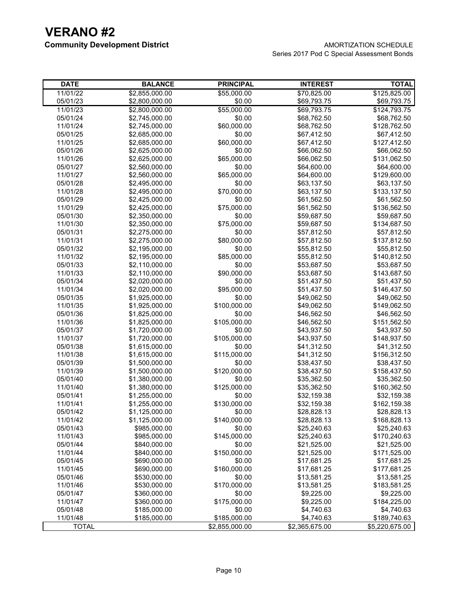| <b>DATE</b>          | <b>BALANCE</b>                   | <b>PRINCIPAL</b>      | <b>INTEREST</b>            | <b>TOTAL</b>                |
|----------------------|----------------------------------|-----------------------|----------------------------|-----------------------------|
| 11/01/22             | \$2,855,000.00                   | \$55,000.00           | \$70,825.00                | \$125,825.00                |
| 05/01/23             | \$2,800,000.00                   | \$0.00                | \$69,793.75                | \$69,793.75                 |
| 11/01/23             | \$2,800,000.00                   | \$55,000.00           | \$69,793.75                | \$124,793.75                |
| 05/01/24             | \$2,745,000.00                   | \$0.00                | \$68,762.50                | \$68,762.50                 |
| 11/01/24             | \$2,745,000.00                   | \$60,000.00           | \$68,762.50                | \$128,762.50                |
| 05/01/25             | \$2,685,000.00                   | \$0.00                | \$67,412.50                | \$67,412.50                 |
| 11/01/25             | \$2,685,000.00                   | \$60,000.00           | \$67,412.50                | \$127,412.50                |
| 05/01/26             | \$2,625,000.00                   | \$0.00                | \$66,062.50                | \$66,062.50                 |
| 11/01/26             | \$2,625,000.00                   | \$65,000.00           | \$66,062.50                | \$131,062.50                |
| 05/01/27             | \$2,560,000.00                   | \$0.00                | \$64,600.00                | \$64,600.00                 |
| 11/01/27             | \$2,560,000.00                   | \$65,000.00           | \$64,600.00                | \$129,600.00                |
| 05/01/28             | \$2,495,000.00                   | \$0.00                | \$63,137.50                | \$63,137.50                 |
| 11/01/28             | \$2,495,000.00                   | \$70,000.00           | \$63,137.50                | \$133,137.50                |
| 05/01/29             | \$2,425,000.00                   | \$0.00                | \$61,562.50                | \$61,562.50                 |
| 11/01/29             | \$2,425,000.00                   | \$75,000.00           | \$61,562.50                | \$136,562.50                |
| 05/01/30             | \$2,350,000.00                   | \$0.00                | \$59,687.50                | \$59,687.50                 |
| 11/01/30             | \$2,350,000.00                   | \$75,000.00           | \$59,687.50                | \$134,687.50                |
| 05/01/31             | \$2,275,000.00                   | \$0.00<br>\$80,000.00 | \$57,812.50                | \$57,812.50                 |
| 11/01/31<br>05/01/32 | \$2,275,000.00<br>\$2,195,000.00 | \$0.00                | \$57,812.50<br>\$55,812.50 | \$137,812.50<br>\$55,812.50 |
| 11/01/32             | \$2,195,000.00                   | \$85,000.00           | \$55,812.50                | \$140,812.50                |
| 05/01/33             | \$2,110,000.00                   | \$0.00                | \$53,687.50                | \$53,687.50                 |
| 11/01/33             | \$2,110,000.00                   | \$90,000.00           | \$53,687.50                | \$143,687.50                |
| 05/01/34             | \$2,020,000.00                   | \$0.00                | \$51,437.50                | \$51,437.50                 |
| 11/01/34             | \$2,020,000.00                   | \$95,000.00           | \$51,437.50                | \$146,437.50                |
| 05/01/35             | \$1,925,000.00                   | \$0.00                | \$49,062.50                | \$49,062.50                 |
| 11/01/35             | \$1,925,000.00                   | \$100,000.00          | \$49,062.50                | \$149,062.50                |
| 05/01/36             | \$1,825,000.00                   | \$0.00                | \$46,562.50                | \$46,562.50                 |
| 11/01/36             | \$1,825,000.00                   | \$105,000.00          | \$46,562.50                | \$151,562.50                |
| 05/01/37             | \$1,720,000.00                   | \$0.00                | \$43,937.50                | \$43,937.50                 |
| 11/01/37             | \$1,720,000.00                   | \$105,000.00          | \$43,937.50                | \$148,937.50                |
| 05/01/38             | \$1,615,000.00                   | \$0.00                | \$41,312.50                | \$41,312.50                 |
| 11/01/38             | \$1,615,000.00                   | \$115,000.00          | \$41,312.50                | \$156,312.50                |
| 05/01/39             | \$1,500,000.00                   | \$0.00                | \$38,437.50                | \$38,437.50                 |
| 11/01/39             | \$1,500,000.00                   | \$120,000.00          | \$38,437.50                | \$158,437.50                |
| 05/01/40             | \$1,380,000.00                   | \$0.00                | \$35,362.50                | \$35,362.50                 |
| 11/01/40             | \$1,380,000.00                   | \$125,000.00          | \$35,362.50                | \$160,362.50                |
| 05/01/41             | \$1,255,000.00                   | \$0.00                | \$32,159.38                | \$32,159.38                 |
| 11/01/41             | \$1,255,000.00                   | \$130,000.00          | \$32,159.38                | \$162,159.38                |
| 05/01/42             | \$1,125,000.00                   | \$0.00                | \$28,828.13                | \$28,828.13                 |
| 11/01/42             | \$1,125,000.00                   | \$140,000.00          | \$28,828.13                | \$168,828.13                |
| 05/01/43             | \$985,000.00                     | \$0.00                | \$25,240.63                | \$25,240.63                 |
| 11/01/43             | \$985,000.00                     | \$145,000.00          | \$25,240.63                | \$170,240.63                |
| 05/01/44             | \$840,000.00                     | \$0.00                | \$21,525.00                | \$21,525.00                 |
| 11/01/44             | \$840,000.00                     | \$150,000.00          | \$21,525.00                | \$171,525.00                |
| 05/01/45             | \$690,000.00                     | \$0.00                | \$17,681.25                | \$17,681.25                 |
| 11/01/45             | \$690,000.00                     | \$160,000.00          | \$17,681.25                | \$177,681.25                |
| 05/01/46             | \$530,000.00                     | \$0.00                | \$13,581.25                | \$13,581.25                 |
| 11/01/46             | \$530,000.00                     | \$170,000.00          | \$13,581.25                | \$183,581.25                |
| 05/01/47             | \$360,000.00                     | \$0.00                | \$9,225.00                 | \$9,225.00                  |
| 11/01/47             | \$360,000.00                     | \$175,000.00          | \$9,225.00                 | \$184,225.00                |
| 05/01/48             | \$185,000.00                     | \$0.00                | \$4,740.63                 | \$4,740.63                  |
| 11/01/48             | \$185,000.00                     | \$185,000.00          | \$4,740.63                 | \$189,740.63                |
| <b>TOTAL</b>         |                                  | \$2,855,000.00        | \$2,365,675.00             | \$5,220,675.00              |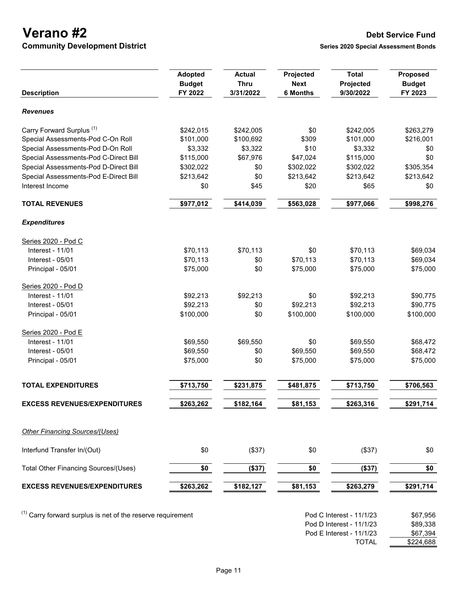**Verano #2 Debt Service Fund**<br> **Perano #2 Debt Service Fund**<br> **Community Development District Community Development District** 

Pod E Interest - 11/1/23 \$67,394

\$224,688

|                                                               | <b>Adopted</b><br><b>Budget</b> | <b>Actual</b><br><b>Thru</b> | Projected<br><b>Next</b> | <b>Total</b><br>Projected                            | Proposed<br><b>Budget</b> |
|---------------------------------------------------------------|---------------------------------|------------------------------|--------------------------|------------------------------------------------------|---------------------------|
| <b>Description</b>                                            | FY 2022                         | 3/31/2022                    | <b>6 Months</b>          | 9/30/2022                                            | FY 2023                   |
| <b>Revenues</b>                                               |                                 |                              |                          |                                                      |                           |
| Carry Forward Surplus <sup>(1)</sup>                          | \$242,015                       | \$242,005                    | \$0                      | \$242,005                                            | \$263,279                 |
| Special Assessments-Pod C-On Roll                             | \$101,000                       | \$100,692                    | \$309                    | \$101,000                                            | \$216,001                 |
| Special Assessments-Pod D-On Roll                             | \$3,332                         | \$3,322                      | \$10                     | \$3,332                                              | \$0                       |
| Special Assessments-Pod C-Direct Bill                         | \$115,000                       | \$67,976                     | \$47,024                 | \$115,000                                            | \$0                       |
| Special Assessments-Pod D-Direct Bill                         | \$302,022                       | \$0                          | \$302,022                | \$302,022                                            | \$305,354                 |
| Special Assessments-Pod E-Direct Bill                         | \$213,642                       | \$0                          | \$213,642                | \$213,642                                            | \$213,642                 |
| Interest Income                                               | \$0                             | \$45                         | \$20                     | \$65                                                 | \$0                       |
| <b>TOTAL REVENUES</b>                                         | \$977,012                       | \$414,039                    | \$563,028                | \$977,066                                            | \$998,276                 |
| <b>Expenditures</b>                                           |                                 |                              |                          |                                                      |                           |
| Series 2020 - Pod C                                           |                                 |                              |                          |                                                      |                           |
| <b>Interest - 11/01</b>                                       | \$70,113                        | \$70,113                     | \$0                      | \$70,113                                             | \$69,034                  |
| Interest - 05/01                                              | \$70,113                        | \$0                          | \$70,113                 | \$70,113                                             | \$69,034                  |
| Principal - 05/01                                             | \$75,000                        | \$0                          | \$75,000                 | \$75,000                                             | \$75,000                  |
| Series 2020 - Pod D                                           |                                 |                              |                          |                                                      |                           |
| Interest - 11/01                                              | \$92,213                        | \$92,213                     | \$0                      | \$92,213                                             | \$90,775                  |
| Interest - 05/01                                              | \$92,213                        | \$0                          | \$92,213                 | \$92,213                                             | \$90,775                  |
| Principal - 05/01                                             | \$100,000                       | \$0                          | \$100,000                | \$100,000                                            | \$100,000                 |
| Series 2020 - Pod E                                           |                                 |                              |                          |                                                      |                           |
| Interest - 11/01                                              | \$69,550                        | \$69,550                     | \$0                      | \$69,550                                             | \$68,472                  |
| Interest - 05/01                                              | \$69,550                        | \$0                          | \$69,550                 | \$69,550                                             | \$68,472                  |
| Principal - 05/01                                             | \$75,000                        | \$0                          | \$75,000                 | \$75,000                                             | \$75,000                  |
| <b>TOTAL EXPENDITURES</b>                                     | \$713,750                       | \$231,875                    | \$481,875                | \$713,750                                            | \$706,563                 |
|                                                               |                                 |                              |                          |                                                      |                           |
| <b>EXCESS REVENUES/EXPENDITURES</b>                           | \$263,262                       | \$182,164                    | \$81,153                 | \$263,316                                            | \$291,714                 |
| <b>Other Financing Sources/(Uses)</b>                         |                                 |                              |                          |                                                      |                           |
| Interfund Transfer In/(Out)                                   | \$0                             | (\$37)                       | \$0                      | (\$37)                                               | \$0                       |
| Total Other Financing Sources/(Uses)                          | \$0                             | (\$37)                       | \$0                      | (\$37)                                               | \$0                       |
| <b>EXCESS REVENUES/EXPENDITURES</b>                           | \$263,262                       | \$182,127                    | \$81,153                 | \$263,279                                            | \$291,714                 |
| $(1)$ Carry forward surplus is net of the reserve requirement |                                 |                              |                          | Pod C Interest - 11/1/23<br>Pod D Interest - 11/1/23 | \$67,956<br>\$89,338      |
|                                                               |                                 |                              |                          |                                                      |                           |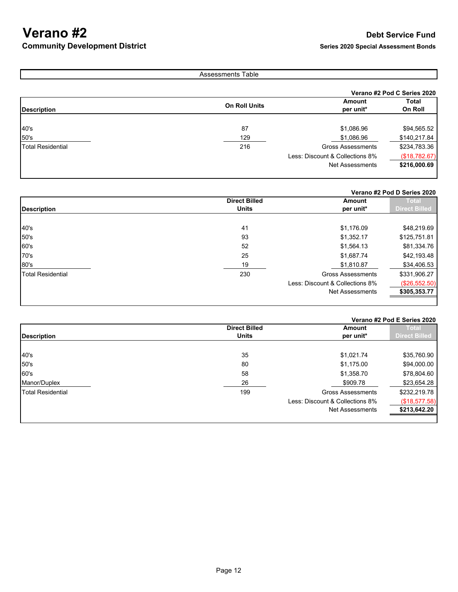## **Verano #2 Debt Service Fund**<br> **Perano #2 Debt Service Fund**<br> **Community Development District Community Development District**

## Assessments Table

|                          |                      |                                 | Verano #2 Pod C Series 2020 |  |
|--------------------------|----------------------|---------------------------------|-----------------------------|--|
|                          |                      | Amount                          | Total                       |  |
| <b>Description</b>       | <b>On Roll Units</b> | per unit*                       | On Roll                     |  |
|                          |                      |                                 |                             |  |
| 40's                     | 87                   | \$1,086.96                      | \$94,565.52                 |  |
| 50's                     | 129                  | \$1,086.96                      | \$140,217.84                |  |
| <b>Total Residential</b> | 216                  | <b>Gross Assessments</b>        | \$234,783.36                |  |
|                          |                      | Less: Discount & Collections 8% | (\$18,782.67)               |  |
|                          |                      | Net Assessments                 | \$216,000.69                |  |
|                          |                      |                                 |                             |  |

## **Verano #2 Pod D Series 2020**

|                          | <b>Direct Billed</b> | Amount                          | <b>Total</b>         |
|--------------------------|----------------------|---------------------------------|----------------------|
|                          |                      |                                 |                      |
| <b>Description</b>       | <b>Units</b>         | per unit*                       | <b>Direct Billed</b> |
|                          |                      |                                 |                      |
| 40's                     | 41                   | \$1,176.09                      | \$48,219.69          |
| 50's                     | 93                   | \$1,352.17                      | \$125,751.81         |
| 60's                     | 52                   | \$1,564.13                      | \$81,334.76          |
| 70's                     | 25                   | \$1,687.74                      | \$42,193.48          |
| 80's                     | 19                   | \$1,810.87                      | \$34,406.53          |
| <b>Total Residential</b> | 230                  | <b>Gross Assessments</b>        | \$331,906.27         |
|                          |                      | Less: Discount & Collections 8% | (\$26,552.50)        |
|                          |                      | <b>Net Assessments</b>          | \$305,353.77         |
|                          |                      |                                 |                      |

## **Verano #2 Pod E Series 2020**

|                          | <b>Direct Billed</b> | Amount                          | Total                |
|--------------------------|----------------------|---------------------------------|----------------------|
| <b>Description</b>       | <b>Units</b>         | per unit*                       | <b>Direct Billed</b> |
|                          |                      |                                 |                      |
| 40's                     | 35                   | \$1,021.74                      | \$35,760.90          |
| 50's                     | 80                   | \$1,175.00                      | \$94,000.00          |
| 60's                     | 58                   | \$1,358.70                      | \$78,804.60          |
| Manor/Duplex             | 26                   | \$909.78                        | \$23,654.28          |
| <b>Total Residential</b> | 199                  | <b>Gross Assessments</b>        | \$232,219.78         |
|                          |                      | Less: Discount & Collections 8% | (\$18,577.58)        |
|                          |                      | <b>Net Assessments</b>          | \$213,642.20         |
|                          |                      |                                 |                      |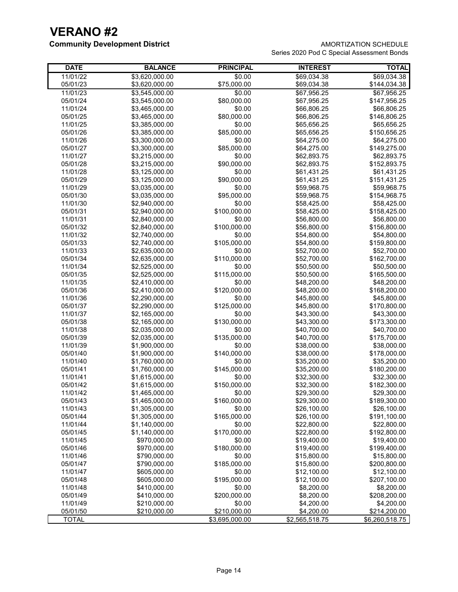## **Community Development District AMORTIZATION SCHEDULE**

Series 2020 Pod C Special Assessment Bonds

| <b>DATE</b>          | <b>BALANCE</b>                   | <b>PRINCIPAL</b>       | <b>INTEREST</b>            | <b>TOTAL</b>                |
|----------------------|----------------------------------|------------------------|----------------------------|-----------------------------|
| 11/01/22             | \$3,620,000.00                   | \$0.00                 | \$69,034.38                | \$69,034.38                 |
| 05/01/23             | \$3,620,000.00                   | \$75,000.00            | \$69,034.38                | \$144,034.38                |
| 11/01/23             | \$3,545,000.00                   | \$0.00                 | \$67,956.25                | \$67,956.25                 |
| 05/01/24             | \$3,545,000.00                   | \$80,000.00            | \$67,956.25                | \$147,956.25                |
| 11/01/24             | \$3,465,000.00                   | \$0.00                 | \$66,806.25                | \$66,806.25                 |
| 05/01/25             | \$3,465,000.00                   | \$80,000.00            | \$66,806.25                | \$146,806.25                |
| 11/01/25             | \$3,385,000.00                   | \$0.00                 | \$65,656.25                | \$65,656.25                 |
| 05/01/26             | \$3,385,000.00                   | \$85,000.00            | \$65,656.25                | \$150,656.25                |
| 11/01/26             | \$3,300,000.00                   | \$0.00                 | \$64,275.00                | \$64,275.00                 |
| 05/01/27             | \$3,300,000.00                   | \$85,000.00            | \$64,275.00                | \$149,275.00                |
| 11/01/27             | \$3,215,000.00                   | \$0.00                 | \$62,893.75                | \$62,893.75                 |
| 05/01/28             | \$3,215,000.00                   | \$90,000.00            | \$62,893.75                | \$152,893.75                |
| 11/01/28             | \$3,125,000.00                   | \$0.00                 | \$61,431.25                | \$61,431.25                 |
| 05/01/29             | \$3,125,000.00                   | \$90,000.00            | \$61,431.25                | \$151,431.25                |
| 11/01/29             | \$3,035,000.00                   | \$0.00                 | \$59,968.75                | \$59,968.75                 |
| 05/01/30             | \$3,035,000.00                   | \$95,000.00            | \$59,968.75                | \$154,968.75                |
| 11/01/30             | \$2,940,000.00                   | \$0.00                 | \$58,425.00                | \$58,425.00                 |
| 05/01/31             | \$2,940,000.00                   | \$100,000.00           | \$58,425.00                | \$158,425.00                |
| 11/01/31             | \$2,840,000.00                   | \$0.00                 | \$56,800.00                | \$56,800.00                 |
| 05/01/32             | \$2,840,000.00                   | \$100,000.00           | \$56,800.00                | \$156,800.00                |
| 11/01/32             | \$2,740,000.00                   | \$0.00                 | \$54,800.00                | \$54,800.00                 |
| 05/01/33             | \$2,740,000.00                   | \$105,000.00           | \$54,800.00                | \$159,800.00                |
| 11/01/33             | \$2,635,000.00                   | \$0.00                 | \$52,700.00                | \$52,700.00                 |
| 05/01/34             | \$2,635,000.00                   | \$110,000.00           | \$52,700.00                | \$162,700.00                |
| 11/01/34             | \$2,525,000.00                   | \$0.00                 | \$50,500.00                | \$50,500.00                 |
| 05/01/35             | \$2,525,000.00                   | \$115,000.00           | \$50,500.00                | \$165,500.00                |
| 11/01/35             | \$2,410,000.00                   | \$0.00                 | \$48,200.00                | \$48,200.00                 |
| 05/01/36             | \$2,410,000.00                   | \$120,000.00           | \$48,200.00                | \$168,200.00                |
| 11/01/36             | \$2,290,000.00                   | \$0.00                 | \$45,800.00                | \$45,800.00                 |
| 05/01/37             | \$2,290,000.00                   | \$125,000.00           | \$45,800.00                | \$170,800.00                |
| 11/01/37             | \$2,165,000.00                   | \$0.00                 | \$43,300.00                | \$43,300.00                 |
| 05/01/38             | \$2,165,000.00                   | \$130,000.00           | \$43,300.00                | \$173,300.00                |
| 11/01/38             | \$2,035,000.00                   | \$0.00                 | \$40,700.00                | \$40,700.00                 |
| 05/01/39             | \$2,035,000.00                   | \$135,000.00           | \$40,700.00                | \$175,700.00                |
| 11/01/39             | \$1,900,000.00                   | \$0.00                 | \$38,000.00                | \$38,000.00                 |
| 05/01/40             | \$1,900,000.00                   | \$140,000.00           | \$38,000.00                | \$178,000.00                |
| 11/01/40             | \$1,760,000.00                   | \$0.00<br>\$145,000.00 | \$35,200.00                | \$35,200.00                 |
| 05/01/41             | \$1,760,000.00                   |                        | \$35,200.00                | \$180,200.00                |
| 11/01/41             | \$1,615,000.00<br>\$1,615,000.00 | \$0.00<br>\$150,000.00 | \$32,300.00<br>\$32,300.00 | \$32,300.00<br>\$182,300.00 |
| 05/01/42<br>11/01/42 | \$1,465,000.00                   | \$0.00                 | \$29,300.00                | \$29,300.00                 |
| 05/01/43             |                                  | \$160,000.00           |                            |                             |
| 11/01/43             | \$1,465,000.00<br>\$1,305,000.00 | \$0.00                 | \$29,300.00<br>\$26,100.00 | \$189,300.00                |
|                      |                                  |                        |                            | \$26,100.00                 |
| 05/01/44<br>11/01/44 | \$1,305,000.00<br>\$1,140,000.00 | \$165,000.00<br>\$0.00 | \$26,100.00<br>\$22,800.00 | \$191,100.00<br>\$22,800.00 |
| 05/01/45             | \$1,140,000.00                   | \$170,000.00           | \$22,800.00                | \$192,800.00                |
| 11/01/45             | \$970,000.00                     | \$0.00                 | \$19,400.00                | \$19,400.00                 |
|                      |                                  | \$180,000.00           |                            |                             |
| 05/01/46<br>11/01/46 | \$970,000.00<br>\$790,000.00     | \$0.00                 | \$19,400.00<br>\$15,800.00 | \$199,400.00<br>\$15,800.00 |
| 05/01/47             | \$790,000.00                     | \$185,000.00           | \$15,800.00                | \$200,800.00                |
| 11/01/47             | \$605,000.00                     | \$0.00                 | \$12,100.00                | \$12,100.00                 |
| 05/01/48             | \$605,000.00                     | \$195,000.00           | \$12,100.00                | \$207,100.00                |
| 11/01/48             | \$410,000.00                     | \$0.00                 | \$8,200.00                 | \$8,200.00                  |
| 05/01/49             | \$410,000.00                     | \$200,000.00           | \$8,200.00                 | \$208,200.00                |
| 11/01/49             | \$210,000.00                     | \$0.00                 | \$4,200.00                 | \$4,200.00                  |
| 05/01/50             | \$210,000.00                     | \$210,000.00           | \$4,200.00                 | \$214,200.00                |
| <b>TOTAL</b>         |                                  | \$3,695,000.00         | \$2,565,518.75             | \$6,260,518.75              |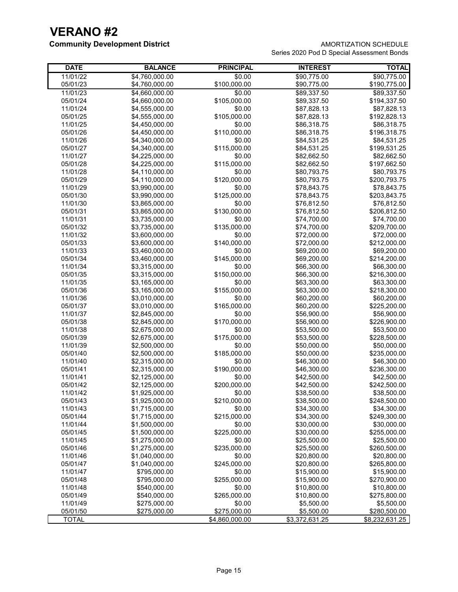## **Community Development District AMORTIZATION SCHEDULE**

Series 2020 Pod D Special Assessment Bonds

| <b>DATE</b>          | <b>BALANCE</b>                   | <b>PRINCIPAL</b>       | <b>INTEREST</b>            | <b>TOTAL</b>                |
|----------------------|----------------------------------|------------------------|----------------------------|-----------------------------|
| 11/01/22             | \$4,760,000.00                   | \$0.00                 | \$90,775.00                | \$90,775.00                 |
| 05/01/23             | \$4,760,000.00                   | \$100,000.00           | \$90,775.00                | \$190,775.00                |
| 11/01/23             | \$4,660,000.00                   | \$0.00                 | \$89,337.50                | \$89,337.50                 |
| 05/01/24             | \$4,660,000.00                   | \$105,000.00           | \$89,337.50                | \$194,337.50                |
| 11/01/24             | \$4,555,000.00                   | \$0.00                 | \$87,828.13                | \$87,828.13                 |
| 05/01/25             | \$4,555,000.00                   | \$105,000.00           | \$87,828.13                | \$192,828.13                |
| 11/01/25             | \$4,450,000.00                   | \$0.00                 | \$86,318.75                | \$86,318.75                 |
| 05/01/26             | \$4,450,000.00                   | \$110,000.00           | \$86,318.75                | \$196,318.75                |
| 11/01/26             | \$4,340,000.00                   | \$0.00                 | \$84,531.25                | \$84,531.25                 |
| 05/01/27             | \$4,340,000.00                   | \$115,000.00           | \$84,531.25                | \$199,531.25                |
| 11/01/27             | \$4,225,000.00                   | \$0.00                 | \$82,662.50                | \$82,662.50                 |
| 05/01/28             | \$4,225,000.00                   | \$115,000.00           | \$82,662.50                | \$197,662.50                |
| 11/01/28             | \$4,110,000.00                   | \$0.00                 | \$80,793.75                | \$80,793.75                 |
| 05/01/29             | \$4,110,000.00                   | \$120,000.00           | \$80,793.75                | \$200,793.75                |
| 11/01/29             | \$3,990,000.00                   | \$0.00                 | \$78,843.75                | \$78,843.75                 |
| 05/01/30             | \$3,990,000.00                   | \$125,000.00           | \$78,843.75                | \$203,843.75                |
| 11/01/30             | \$3,865,000.00                   | \$0.00                 | \$76,812.50                | \$76,812.50                 |
| 05/01/31             | \$3,865,000.00                   | \$130,000.00           | \$76,812.50                | \$206,812.50                |
| 11/01/31             | \$3,735,000.00                   | \$0.00                 | \$74,700.00                | \$74,700.00                 |
| 05/01/32             | \$3,735,000.00                   | \$135,000.00           | \$74,700.00                | \$209,700.00                |
| 11/01/32             | \$3,600,000.00                   | \$0.00                 | \$72,000.00                | \$72,000.00                 |
| 05/01/33             | \$3,600,000.00                   | \$140,000.00           | \$72,000.00                | \$212,000.00                |
| 11/01/33             | \$3,460,000.00                   | \$0.00                 | \$69,200.00                | \$69,200.00                 |
| 05/01/34             | \$3,460,000.00                   | \$145,000.00           | \$69,200.00                | \$214,200.00                |
| 11/01/34             | \$3,315,000.00                   | \$0.00                 | \$66,300.00                | \$66,300.00                 |
| 05/01/35             | \$3,315,000.00                   | \$150,000.00           | \$66,300.00                | \$216,300.00                |
| 11/01/35             | \$3,165,000.00                   | \$0.00                 | \$63,300.00                | \$63,300.00                 |
| 05/01/36             | \$3,165,000.00                   | \$155,000.00<br>\$0.00 | \$63,300.00                | \$218,300.00                |
| 11/01/36             | \$3,010,000.00                   |                        | \$60,200.00                | \$60,200.00                 |
| 05/01/37             | \$3,010,000.00                   | \$165,000.00           | \$60,200.00                | \$225,200.00                |
| 11/01/37             | \$2,845,000.00                   | \$0.00                 | \$56,900.00                | \$56,900.00                 |
| 05/01/38             | \$2,845,000.00                   | \$170,000.00           | \$56,900.00                | \$226,900.00                |
| 11/01/38             | \$2,675,000.00                   | \$0.00<br>\$175,000.00 | \$53,500.00                | \$53,500.00                 |
| 05/01/39             | \$2,675,000.00                   | \$0.00                 | \$53,500.00                | \$228,500.00                |
| 11/01/39             | \$2,500,000.00                   | \$185,000.00           | \$50,000.00<br>\$50,000.00 | \$50,000.00                 |
| 05/01/40<br>11/01/40 | \$2,500,000.00<br>\$2,315,000.00 | \$0.00                 | \$46,300.00                | \$235,000.00<br>\$46,300.00 |
| 05/01/41             | \$2,315,000.00                   | \$190,000.00           | \$46,300.00                | \$236,300.00                |
| 11/01/41             | \$2,125,000.00                   | \$0.00                 | \$42,500.00                | \$42,500.00                 |
| 05/01/42             | \$2,125,000.00                   | \$200,000.00           | \$42,500.00                | \$242,500.00                |
| 11/01/42             | \$1,925,000.00                   | \$0.00                 | \$38,500.00                | \$38,500.00                 |
| 05/01/43             | \$1,925,000.00                   | \$210,000.00           | \$38,500.00                | \$248,500.00                |
| 11/01/43             | \$1,715,000.00                   | \$0.00                 | \$34,300.00                | \$34,300.00                 |
| 05/01/44             | \$1,715,000.00                   | \$215,000.00           | \$34,300.00                | \$249,300.00                |
| 11/01/44             | \$1,500,000.00                   | \$0.00                 | \$30,000.00                | \$30,000.00                 |
| 05/01/45             | \$1,500,000.00                   | \$225,000.00           | \$30,000.00                | \$255,000.00                |
| 11/01/45             | \$1,275,000.00                   | \$0.00                 | \$25,500.00                | \$25,500.00                 |
| 05/01/46             | \$1,275,000.00                   | \$235,000.00           | \$25,500.00                | \$260,500.00                |
| 11/01/46             | \$1,040,000.00                   | \$0.00                 | \$20,800.00                | \$20,800.00                 |
| 05/01/47             | \$1,040,000.00                   | \$245,000.00           | \$20,800.00                | \$265,800.00                |
| 11/01/47             | \$795,000.00                     | \$0.00                 | \$15,900.00                | \$15,900.00                 |
| 05/01/48             | \$795,000.00                     | \$255,000.00           | \$15,900.00                | \$270,900.00                |
| 11/01/48             | \$540,000.00                     | \$0.00                 | \$10,800.00                | \$10,800.00                 |
| 05/01/49             | \$540,000.00                     | \$265,000.00           | \$10,800.00                | \$275,800.00                |
| 11/01/49             | \$275,000.00                     | \$0.00                 | \$5,500.00                 | \$5,500.00                  |
| 05/01/50             | \$275,000.00                     | \$275,000.00           | \$5,500.00                 | \$280,500.00                |
| <b>TOTAL</b>         |                                  | \$4,860,000.00         | \$3,372,631.25             | \$8,232,631.25              |